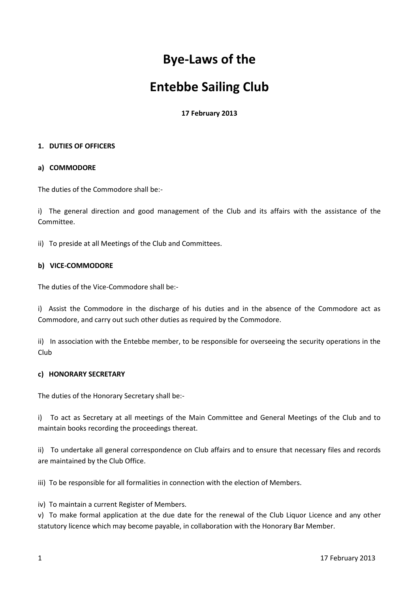# **Bye-Laws of the**

# **Entebbe Sailing Club**

**17 February 2013**

# **1. DUTIES OF OFFICERS**

# **a) COMMODORE**

The duties of the Commodore shall be:-

i) The general direction and good management of the Club and its affairs with the assistance of the Committee.

ii) To preside at all Meetings of the Club and Committees.

# **b) VICE-COMMODORE**

The duties of the Vice-Commodore shall be:-

i) Assist the Commodore in the discharge of his duties and in the absence of the Commodore act as Commodore, and carry out such other duties as required by the Commodore.

ii) In association with the Entebbe member, to be responsible for overseeing the security operations in the Club

## **c) HONORARY SECRETARY**

The duties of the Honorary Secretary shall be:-

i) To act as Secretary at all meetings of the Main Committee and General Meetings of the Club and to maintain books recording the proceedings thereat.

ii) To undertake all general correspondence on Club affairs and to ensure that necessary files and records are maintained by the Club Office.

iii) To be responsible for all formalities in connection with the election of Members.

iv) To maintain a current Register of Members.

v) To make formal application at the due date for the renewal of the Club Liquor Licence and any other statutory licence which may become payable, in collaboration with the Honorary Bar Member.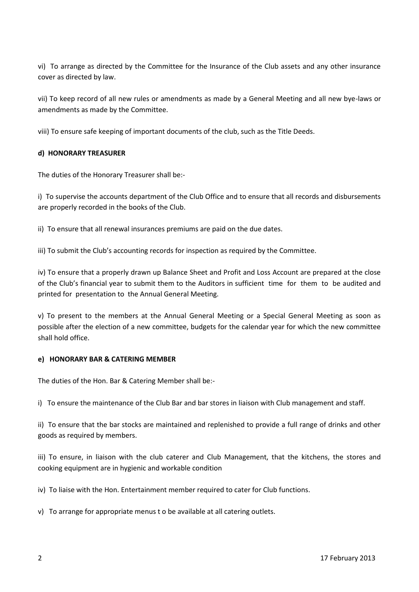vi) To arrange as directed by the Committee for the Insurance of the Club assets and any other insurance cover as directed by law.

vii) To keep record of all new rules or amendments as made by a General Meeting and all new bye-laws or amendments as made by the Committee.

viii) To ensure safe keeping of important documents of the club, such as the Title Deeds.

# **d) HONORARY TREASURER**

The duties of the Honorary Treasurer shall be:-

i) To supervise the accounts department of the Club Office and to ensure that all records and disbursements are properly recorded in the books of the Club.

ii) To ensure that all renewal insurances premiums are paid on the due dates.

iii) To submit the Club's accounting records for inspection as required by the Committee.

iv) To ensure that a properly drawn up Balance Sheet and Profit and Loss Account are prepared at the close of the Club's financial year to submit them to the Auditors in sufficient time for them to be audited and printed for presentation to the Annual General Meeting.

v) To present to the members at the Annual General Meeting or a Special General Meeting as soon as possible after the election of a new committee, budgets for the calendar year for which the new committee shall hold office.

#### **e) HONORARY BAR & CATERING MEMBER**

The duties of the Hon. Bar & Catering Member shall be:-

i) To ensure the maintenance of the Club Bar and bar stores in liaison with Club management and staff.

ii) To ensure that the bar stocks are maintained and replenished to provide a full range of drinks and other goods as required by members.

iii) To ensure, in liaison with the club caterer and Club Management, that the kitchens, the stores and cooking equipment are in hygienic and workable condition

iv) To liaise with the Hon. Entertainment member required to cater for Club functions.

v) To arrange for appropriate menus t o be available at all catering outlets.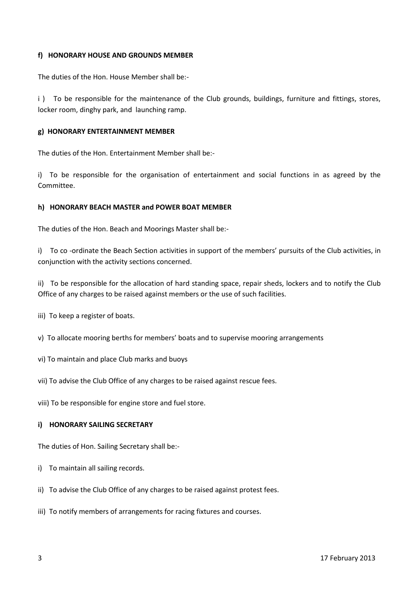#### **f) HONORARY HOUSE AND GROUNDS MEMBER**

The duties of the Hon. House Member shall be:-

i) To be responsible for the maintenance of the Club grounds, buildings, furniture and fittings, stores, locker room, dinghy park, and launching ramp.

#### **g) HONORARY ENTERTAINMENT MEMBER**

The duties of the Hon. Entertainment Member shall be:-

i) To be responsible for the organisation of entertainment and social functions in as agreed by the Committee.

# **h) HONORARY BEACH MASTER and POWER BOAT MEMBER**

The duties of the Hon. Beach and Moorings Master shall be:-

i) To co -ordinate the Beach Section activities in support of the members' pursuits of the Club activities, in conjunction with the activity sections concerned.

ii) To be responsible for the allocation of hard standing space, repair sheds, lockers and to notify the Club Office of any charges to be raised against members or the use of such facilities.

- iii) To keep a register of boats.
- v) To allocate mooring berths for members' boats and to supervise mooring arrangements
- vi) To maintain and place Club marks and buoys
- vii) To advise the Club Office of any charges to be raised against rescue fees.
- viii) To be responsible for engine store and fuel store.

#### **i) HONORARY SAILING SECRETARY**

The duties of Hon. Sailing Secretary shall be:-

- i) To maintain all sailing records.
- ii) To advise the Club Office of any charges to be raised against protest fees.
- iii) To notify members of arrangements for racing fixtures and courses.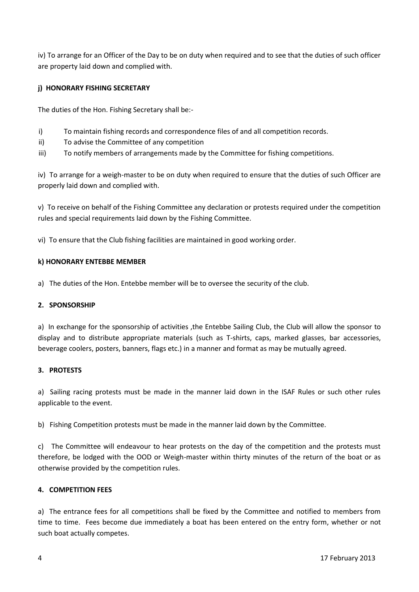iv) To arrange for an Officer of the Day to be on duty when required and to see that the duties of such officer are property laid down and complied with.

# **j) HONORARY FISHING SECRETARY**

The duties of the Hon. Fishing Secretary shall be:-

- i) To maintain fishing records and correspondence files of and all competition records.
- ii) To advise the Committee of any competition
- iii) To notify members of arrangements made by the Committee for fishing competitions.

iv) To arrange for a weigh-master to be on duty when required to ensure that the duties of such Officer are properly laid down and complied with.

v) To receive on behalf of the Fishing Committee any declaration or protests required under the competition rules and special requirements laid down by the Fishing Committee.

vi) To ensure that the Club fishing facilities are maintained in good working order.

#### **k) HONORARY ENTEBBE MEMBER**

a) The duties of the Hon. Entebbe member will be to oversee the security of the club.

#### **2. SPONSORSHIP**

a) In exchange for the sponsorship of activities ,the Entebbe Sailing Club, the Club will allow the sponsor to display and to distribute appropriate materials (such as T-shirts, caps, marked glasses, bar accessories, beverage coolers, posters, banners, flags etc.) in a manner and format as may be mutually agreed.

#### **3. PROTESTS**

a) Sailing racing protests must be made in the manner laid down in the ISAF Rules or such other rules applicable to the event.

b) Fishing Competition protests must be made in the manner laid down by the Committee.

c) The Committee will endeavour to hear protests on the day of the competition and the protests must therefore, be lodged with the OOD or Weigh-master within thirty minutes of the return of the boat or as otherwise provided by the competition rules.

## **4. COMPETITION FEES**

a) The entrance fees for all competitions shall be fixed by the Committee and notified to members from time to time. Fees become due immediately a boat has been entered on the entry form, whether or not such boat actually competes.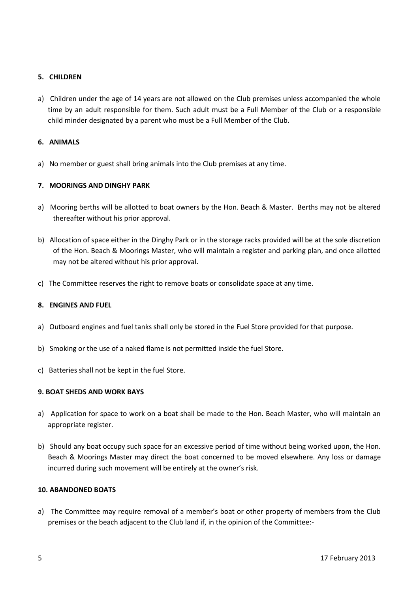# **5. CHILDREN**

a) Children under the age of 14 years are not allowed on the Club premises unless accompanied the whole time by an adult responsible for them. Such adult must be a Full Member of the Club or a responsible child minder designated by a parent who must be a Full Member of the Club.

## **6. ANIMALS**

a) No member or guest shall bring animals into the Club premises at any time.

# **7. MOORINGS AND DINGHY PARK**

- a) Mooring berths will be allotted to boat owners by the Hon. Beach & Master. Berths may not be altered thereafter without his prior approval.
- b) Allocation of space either in the Dinghy Park or in the storage racks provided will be at the sole discretion of the Hon. Beach & Moorings Master, who will maintain a register and parking plan, and once allotted may not be altered without his prior approval.
- c) The Committee reserves the right to remove boats or consolidate space at any time.

#### **8. ENGINES AND FUEL**

- a) Outboard engines and fuel tanks shall only be stored in the Fuel Store provided for that purpose.
- b) Smoking or the use of a naked flame is not permitted inside the fuel Store.
- c) Batteries shall not be kept in the fuel Store.

## **9. BOAT SHEDS AND WORK BAYS**

- a) Application for space to work on a boat shall be made to the Hon. Beach Master, who will maintain an appropriate register.
- b) Should any boat occupy such space for an excessive period of time without being worked upon, the Hon. Beach & Moorings Master may direct the boat concerned to be moved elsewhere. Any loss or damage incurred during such movement will be entirely at the owner's risk.

## **10. ABANDONED BOATS**

a) The Committee may require removal of a member's boat or other property of members from the Club premises or the beach adjacent to the Club land if, in the opinion of the Committee:-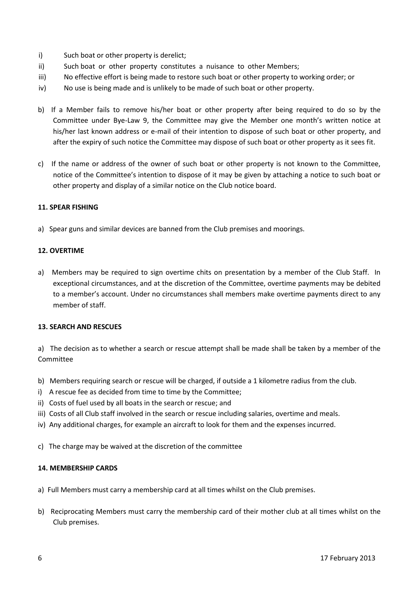- i) Such boat or other property is derelict;
- ii) Such boat or other property constitutes a nuisance to other Members;
- iii) No effective effort is being made to restore such boat or other property to working order; or
- iv) No use is being made and is unlikely to be made of such boat or other property.
- b) If a Member fails to remove his/her boat or other property after being required to do so by the Committee under Bye-Law 9, the Committee may give the Member one month's written notice at his/her last known address or e-mail of their intention to dispose of such boat or other property, and after the expiry of such notice the Committee may dispose of such boat or other property as it sees fit.
- c) If the name or address of the owner of such boat or other property is not known to the Committee, notice of the Committee's intention to dispose of it may be given by attaching a notice to such boat or other property and display of a similar notice on the Club notice board.

#### **11. SPEAR FISHING**

a) Spear guns and similar devices are banned from the Club premises and moorings.

#### **12. OVERTIME**

a) Members may be required to sign overtime chits on presentation by a member of the Club Staff. In exceptional circumstances, and at the discretion of the Committee, overtime payments may be debited to a member's account. Under no circumstances shall members make overtime payments direct to any member of staff.

#### **13. SEARCH AND RESCUES**

a) The decision as to whether a search or rescue attempt shall be made shall be taken by a member of the Committee

- b) Members requiring search or rescue will be charged, if outside a 1 kilometre radius from the club.
- i) A rescue fee as decided from time to time by the Committee;
- ii) Costs of fuel used by all boats in the search or rescue; and
- iii) Costs of all Club staff involved in the search or rescue including salaries, overtime and meals.
- iv) Any additional charges, for example an aircraft to look for them and the expenses incurred.
- c) The charge may be waived at the discretion of the committee

#### **14. MEMBERSHIP CARDS**

- a) Full Members must carry a membership card at all times whilst on the Club premises.
- b) Reciprocating Members must carry the membership card of their mother club at all times whilst on the Club premises.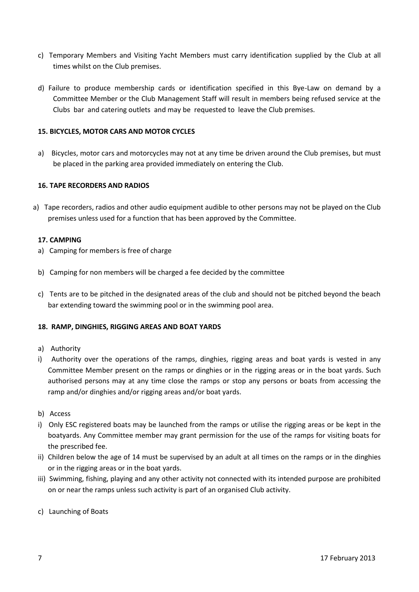- c) Temporary Members and Visiting Yacht Members must carry identification supplied by the Club at all times whilst on the Club premises.
- d) Failure to produce membership cards or identification specified in this Bye-Law on demand by a Committee Member or the Club Management Staff will result in members being refused service at the Clubs bar and catering outlets and may be requested to leave the Club premises.

# **15. BICYCLES, MOTOR CARS AND MOTOR CYCLES**

a) Bicycles, motor cars and motorcycles may not at any time be driven around the Club premises, but must be placed in the parking area provided immediately on entering the Club.

#### **16. TAPE RECORDERS AND RADIOS**

a) Tape recorders, radios and other audio equipment audible to other persons may not be played on the Club premises unless used for a function that has been approved by the Committee.

#### **17. CAMPING**

- a) Camping for members is free of charge
- b) Camping for non members will be charged a fee decided by the committee
- c) Tents are to be pitched in the designated areas of the club and should not be pitched beyond the beach bar extending toward the swimming pool or in the swimming pool area.

#### **18. RAMP, DINGHIES, RIGGING AREAS AND BOAT YARDS**

- a) Authority
- i) Authority over the operations of the ramps, dinghies, rigging areas and boat yards is vested in any Committee Member present on the ramps or dinghies or in the rigging areas or in the boat yards. Such authorised persons may at any time close the ramps or stop any persons or boats from accessing the ramp and/or dinghies and/or rigging areas and/or boat yards.
- b) Access
- i) Only ESC registered boats may be launched from the ramps or utilise the rigging areas or be kept in the boatyards. Any Committee member may grant permission for the use of the ramps for visiting boats for the prescribed fee.
- ii) Children below the age of 14 must be supervised by an adult at all times on the ramps or in the dinghies or in the rigging areas or in the boat yards.
- iii) Swimming, fishing, playing and any other activity not connected with its intended purpose are prohibited on or near the ramps unless such activity is part of an organised Club activity.
- c) Launching of Boats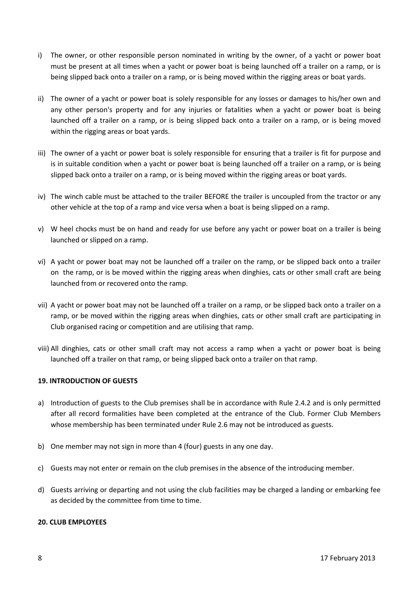- i) The owner, or other responsible person nominated in writing by the owner, of a yacht or power boat must be present at all times when a yacht or power boat is being launched off a trailer on a ramp, or is being slipped back onto a trailer on a ramp, or is being moved within the rigging areas or boat yards.
- ii) The owner of a yacht or power boat is solely responsible for any losses or damages to his/her own and any other person's property and for any injuries or fatalities when a yacht or power boat is being launched off a trailer on a ramp, or is being slipped back onto a trailer on a ramp, or is being moved within the rigging areas or boat yards.
- iii) The owner of a yacht or power boat is solely responsible for ensuring that a trailer is fit for purpose and is in suitable condition when a yacht or power boat is being launched off a trailer on a ramp, or is being slipped back onto a trailer on a ramp, or is being moved within the rigging areas or boat yards.
- iv) The winch cable must be attached to the trailer BEFORE the trailer is uncoupled from the tractor or any other vehicle at the top of a ramp and vice versa when a boat is being slipped on a ramp.
- v) W heel chocks must be on hand and ready for use before any yacht or power boat on a trailer is being launched or slipped on a ramp.
- vi) A yacht or power boat may not be launched off a trailer on the ramp, or be slipped back onto a trailer on the ramp, or is be moved within the rigging areas when dinghies, cats or other small craft are being launched from or recovered onto the ramp.
- vii) A yacht or power boat may not be launched off a trailer on a ramp, or be slipped back onto a trailer on a ramp, or be moved within the rigging areas when dinghies, cats or other small craft are participating in Club organised racing or competition and are utilising that ramp.
- viii) All dinghies, cats or other small craft may not access a ramp when a yacht or power boat is being launched off a trailer on that ramp, or being slipped back onto a trailer on that ramp.

# **19. INTRODUCTION OF GUESTS**

- a) Introduction of guests to the Club premises shall be in accordance with Rule 2.4.2 and is only permitted after all record formalities have been completed at the entrance of the Club. Former Club Members whose membership has been terminated under Rule 2.6 may not be introduced as guests.
- b) One member may not sign in more than 4 (four) guests in any one day.
- c) Guests may not enter or remain on the club premises in the absence of the introducing member.
- d) Guests arriving or departing and not using the club facilities may be charged a landing or embarking fee as decided by the committee from time to time.

# **20. CLUB EMPLOYEES**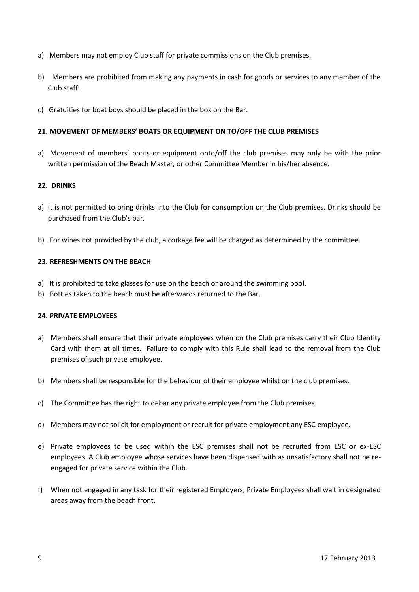- a) Members may not employ Club staff for private commissions on the Club premises.
- b) Members are prohibited from making any payments in cash for goods or services to any member of the Club staff.
- c) Gratuities for boat boys should be placed in the box on the Bar.

# **21. MOVEMENT OF MEMBERS' BOATS OR EQUIPMENT ON TO/OFF THE CLUB PREMISES**

a) Movement of members' boats or equipment onto/off the club premises may only be with the prior written permission of the Beach Master, or other Committee Member in his/her absence.

#### **22. DRINKS**

- a) It is not permitted to bring drinks into the Club for consumption on the Club premises. Drinks should be purchased from the Club's bar.
- b) For wines not provided by the club, a corkage fee will be charged as determined by the committee.

# **23. REFRESHMENTS ON THE BEACH**

- a) It is prohibited to take glasses for use on the beach or around the swimming pool.
- b) Bottles taken to the beach must be afterwards returned to the Bar.

#### **24. PRIVATE EMPLOYEES**

- a) Members shall ensure that their private employees when on the Club premises carry their Club Identity Card with them at all times. Failure to comply with this Rule shall lead to the removal from the Club premises of such private employee.
- b) Members shall be responsible for the behaviour of their employee whilst on the club premises.
- c) The Committee has the right to debar any private employee from the Club premises.
- d) Members may not solicit for employment or recruit for private employment any ESC employee.
- e) Private employees to be used within the ESC premises shall not be recruited from ESC or ex-ESC employees. A Club employee whose services have been dispensed with as unsatisfactory shall not be re engaged for private service within the Club.
- f) When not engaged in any task for their registered Employers, Private Employees shall wait in designated areas away from the beach front.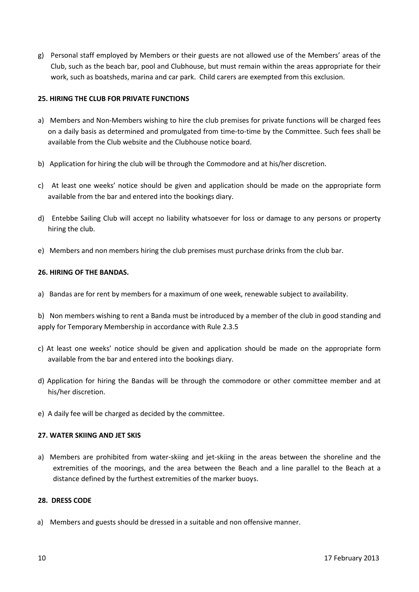g) Personal staff employed by Members or their guests are not allowed use of the Members' areas of the Club, such as the beach bar, pool and Clubhouse, but must remain within the areas appropriate for their work, such as boatsheds, marina and car park. Child carers are exempted from this exclusion.

# **25. HIRING THE CLUB FOR PRIVATE FUNCTIONS**

- a) Members and Non-Members wishing to hire the club premises for private functions will be charged fees on a daily basis as determined and promulgated from time-to-time by the Committee. Such fees shall be available from the Club website and the Clubhouse notice board.
- b) Application for hiring the club will be through the Commodore and at his/her discretion.
- c) At least one weeks' notice should be given and application should be made on the appropriate form available from the bar and entered into the bookings diary.
- d) Entebbe Sailing Club will accept no liability whatsoever for loss or damage to any persons or property hiring the club.
- e) Members and non members hiring the club premises must purchase drinks from the club bar.

## **26. HIRING OF THE BANDAS.**

a) Bandas are for rent by members for a maximum of one week, renewable subject to availability.

b) Non members wishing to rent a Banda must be introduced by a member of the club in good standing and apply for Temporary Membership in accordance with Rule 2.3.5

- c) At least one weeks' notice should be given and application should be made on the appropriate form available from the bar and entered into the bookings diary.
- d) Application for hiring the Bandas will be through the commodore or other committee member and at his/her discretion.
- e) A daily fee will be charged as decided by the committee.

#### **27. WATER SKIING AND JET SKIS**

a) Members are prohibited from water-skiing and jet-skiing in the areas between the shoreline and the extremities of the moorings, and the area between the Beach and a line parallel to the Beach at a distance defined by the furthest extremities of the marker buoys.

# **28. DRESS CODE**

a) Members and guests should be dressed in a suitable and non offensive manner.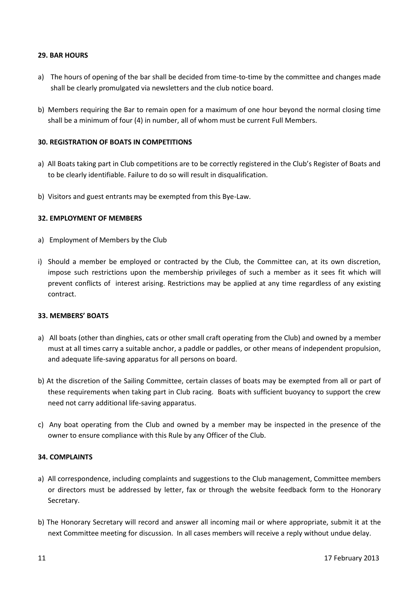## **29. BAR HOURS**

- a) The hours of opening of the bar shall be decided from time-to-time by the committee and changes made shall be clearly promulgated via newsletters and the club notice board.
- b) Members requiring the Bar to remain open for a maximum of one hour beyond the normal closing time shall be a minimum of four (4) in number, all of whom must be current Full Members.

## **30. REGISTRATION OF BOATS IN COMPETITIONS**

- a) All Boats taking part in Club competitions are to be correctly registered in the Club's Register of Boats and to be clearly identifiable. Failure to do so will result in disqualification.
- b) Visitors and guest entrants may be exempted from this Bye-Law.

# **32. EMPLOYMENT OF MEMBERS**

- a) Employment of Members by the Club
- i) Should a member be employed or contracted by the Club, the Committee can, at its own discretion, impose such restrictions upon the membership privileges of such a member as it sees fit which will prevent conflicts of interest arising. Restrictions may be applied at any time regardless of any existing contract.

#### **33. MEMBERS' BOATS**

- a) All boats (other than dinghies, cats or other small craft operating from the Club) and owned by a member must at all times carry a suitable anchor, a paddle or paddles, or other means of independent propulsion, and adequate life-saving apparatus for all persons on board.
- b) At the discretion of the Sailing Committee, certain classes of boats may be exempted from all or part of these requirements when taking part in Club racing. Boats with sufficient buoyancy to support the crew need not carry additional life-saving apparatus.
- c) Any boat operating from the Club and owned by a member may be inspected in the presence of the owner to ensure compliance with this Rule by any Officer of the Club.

#### **34. COMPLAINTS**

- a) All correspondence, including complaints and suggestions to the Club management, Committee members or directors must be addressed by letter, fax or through the website feedback form to the Honorary Secretary.
- b) The Honorary Secretary will record and answer all incoming mail or where appropriate, submit it at the next Committee meeting for discussion. In all cases members will receive a reply without undue delay.